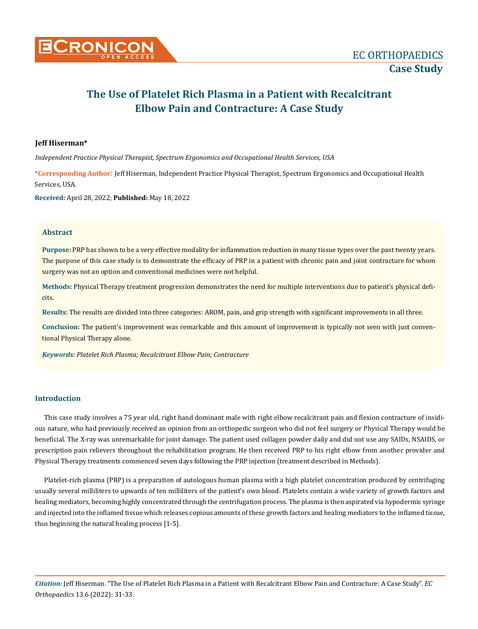# **The Use of Platelet Rich Plasma in a Patient with Recalcitrant Elbow Pain and Contracture: A Case Study**

## **Jeff Hiserman\***

*Independent Practice Physical Therapist, Spectrum Ergonomics and Occupational Health Services, USA*

**\*Corresponding Author**: Jeff Hiserman, Independent Practice Physical Therapist, Spectrum Ergonomics and Occupational Health Services, USA.

**Received:** April 28, 2022; **Published:** May 18, 2022

## **Abstract**

**Purpose:** PRP has shown to be a very effective modality for inflammation reduction in many tissue types over the past twenty years. The purpose of this case study is to demonstrate the efficacy of PRP in a patient with chronic pain and joint contracture for whom surgery was not an option and conventional medicines were not helpful.

**Methods:** Physical Therapy treatment progression demonstrates the need for multiple interventions due to patient's physical deficits.

**Results:** The results are divided into three categories: AROM, pain, and grip strength with significant improvements in all three.

**Conclusion:** The patient's improvement was remarkable and this amount of improvement is typically not seen with just conventional Physical Therapy alone.

*Keywords: Platelet Rich Plasma; Recalcitrant Elbow Pain; Contracture*

# **Introduction**

This case study involves a 75 year old, right hand dominant male with right elbow recalcitrant pain and flexion contracture of insidious nature, who had previously received an opinion from an orthopedic surgeon who did not feel surgery or Physical Therapy would be beneficial. The X-ray was unremarkable for joint damage. The patient used collagen powder daily and did not use any SAIDs, NSAIDS, or prescription pain relievers throughout the rehabilitation program. He then received PRP to his right elbow from another provider and Physical Therapy treatments commenced seven days following the PRP injection (treatment described in Methods).

Platelet-rich plasma (PRP) is a preparation of autologous human plasma with a high platelet concentration produced by centrifuging usually several milliliters to upwards of ten milliliters of the patient's own blood. Platelets contain a wide variety of growth factors and healing mediators, becoming highly concentrated through the centrifugation process. The plasma is then aspirated via hypodermic syringe and injected into the inflamed tissue which releases copious amounts of these growth factors and healing mediators to the inflamed tissue, thus beginning the natural healing process [1-5].

*Citation:* Jeff Hiserman. "The Use of Platelet Rich Plasma in a Patient with Recalcitrant Elbow Pain and Contracture: A Case Study". *EC Orthopaedics* 13.6 (2022): 31-33.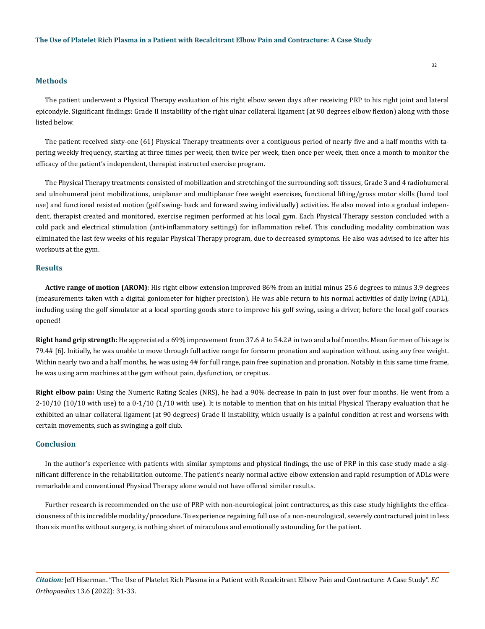#### **Methods**

The patient underwent a Physical Therapy evaluation of his right elbow seven days after receiving PRP to his right joint and lateral epicondyle. Significant findings: Grade II instability of the right ulnar collateral ligament (at 90 degrees elbow flexion) along with those listed below.

The patient received sixty-one (61) Physical Therapy treatments over a contiguous period of nearly five and a half months with tapering weekly frequency, starting at three times per week, then twice per week, then once per week, then once a month to monitor the efficacy of the patient's independent, therapist instructed exercise program.

The Physical Therapy treatments consisted of mobilization and stretching of the surrounding soft tissues, Grade 3 and 4 radiohumeral and ulnohumeral joint mobilizations, uniplanar and multiplanar free weight exercises, functional lifting/gross motor skills (hand tool use) and functional resisted motion (golf swing- back and forward swing individually) activities. He also moved into a gradual independent, therapist created and monitored, exercise regimen performed at his local gym. Each Physical Therapy session concluded with a cold pack and electrical stimulation (anti-inflammatory settings) for inflammation relief. This concluding modality combination was eliminated the last few weeks of his regular Physical Therapy program, due to decreased symptoms. He also was advised to ice after his workouts at the gym.

#### **Results**

Active range of motion (AROM): His right elbow extension improved 86% from an initial minus 25.6 degrees to minus 3.9 degrees (measurements taken with a digital goniometer for higher precision). He was able return to his normal activities of daily living (ADL), including using the golf simulator at a local sporting goods store to improve his golf swing, using a driver, before the local golf courses opened!

**Right hand grip strength:** He appreciated a 69% improvement from 37.6 # to 54.2# in two and a half months. Mean for men of his age is 79.4# [6]. Initially, he was unable to move through full active range for forearm pronation and supination without using any free weight. Within nearly two and a half months, he was using 4# for full range, pain free supination and pronation. Notably in this same time frame, he was using arm machines at the gym without pain, dysfunction, or crepitus.

**Right elbow pain:** Using the Numeric Rating Scales (NRS), he had a 90% decrease in pain in just over four months. He went from a 2-10/10 (10/10 with use) to a 0-1/10 (1/10 with use). It is notable to mention that on his initial Physical Therapy evaluation that he exhibited an ulnar collateral ligament (at 90 degrees) Grade II instability, which usually is a painful condition at rest and worsens with certain movements, such as swinging a golf club.

### **Conclusion**

In the author's experience with patients with similar symptoms and physical findings, the use of PRP in this case study made a significant difference in the rehabilitation outcome. The patient's nearly normal active elbow extension and rapid resumption of ADLs were remarkable and conventional Physical Therapy alone would not have offered similar results.

Further research is recommended on the use of PRP with non-neurological joint contractures, as this case study highlights the efficaciousness of this incredible modality/procedure. To experience regaining full use of a non-neurological, severely contractured joint in less than six months without surgery, is nothing short of miraculous and emotionally astounding for the patient.

*Citation:* Jeff Hiserman. "The Use of Platelet Rich Plasma in a Patient with Recalcitrant Elbow Pain and Contracture: A Case Study". *EC Orthopaedics* 13.6 (2022): 31-33.

32